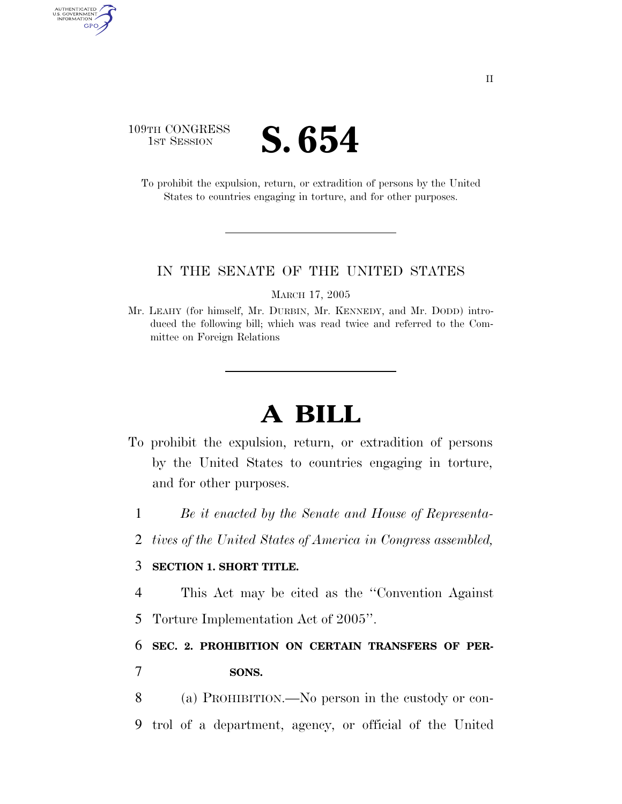# 109TH CONGRESS **IST SESSION S. 654**

AUTHENTICATED<br>U.S. GOVERNMENT<br>INFORMATION GPO

> To prohibit the expulsion, return, or extradition of persons by the United States to countries engaging in torture, and for other purposes.

#### IN THE SENATE OF THE UNITED STATES

MARCH 17, 2005

Mr. LEAHY (for himself, Mr. DURBIN, Mr. KENNEDY, and Mr. DODD) introduced the following bill; which was read twice and referred to the Committee on Foreign Relations

# **A BILL**

- To prohibit the expulsion, return, or extradition of persons by the United States to countries engaging in torture, and for other purposes.
	- 1 *Be it enacted by the Senate and House of Representa-*
	- 2 *tives of the United States of America in Congress assembled,*

### 3 **SECTION 1. SHORT TITLE.**

4 This Act may be cited as the ''Convention Against

5 Torture Implementation Act of 2005''.

6 **SEC. 2. PROHIBITION ON CERTAIN TRANSFERS OF PER-**7 **SONS.** 

8 (a) PROHIBITION.—No person in the custody or con-9 trol of a department, agency, or official of the United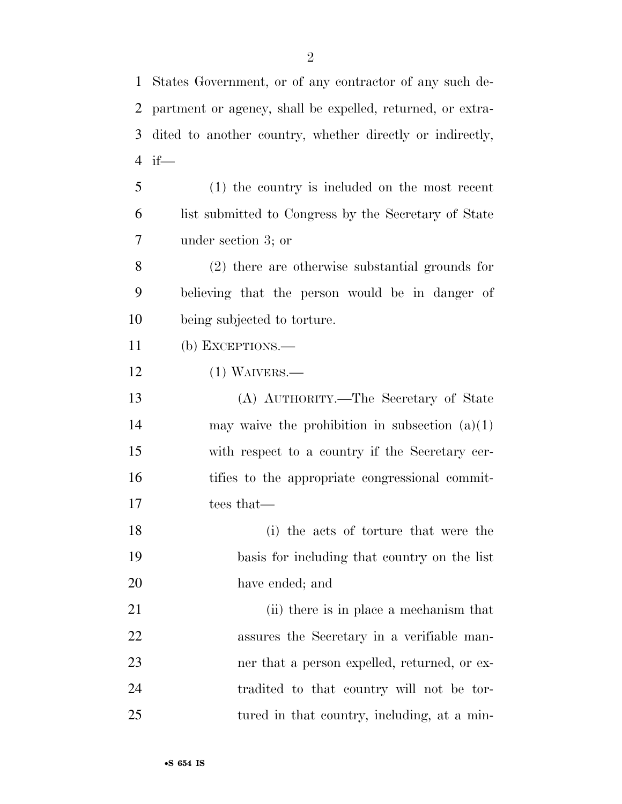| $\mathbf{1}$   | States Government, or of any contractor of any such de-    |
|----------------|------------------------------------------------------------|
| 2              | partment or agency, shall be expelled, returned, or extra- |
| 3              | dited to another country, whether directly or indirectly,  |
| $\overline{4}$ | $if$ —                                                     |
| 5              | (1) the country is included on the most recent             |
| 6              | list submitted to Congress by the Secretary of State       |
| 7              | under section 3; or                                        |
| 8              | $(2)$ there are otherwise substantial grounds for          |
| 9              | believing that the person would be in danger of            |
| 10             | being subjected to torture.                                |
| 11             | (b) EXCEPTIONS.—                                           |
| 12             | $(1)$ WAIVERS.—                                            |
| 13             | (A) AUTHORITY.—The Secretary of State                      |
| 14             | may waive the prohibition in subsection $(a)(1)$           |
| 15             | with respect to a country if the Secretary cer-            |
| 16             | tifies to the appropriate congressional commit-            |
| 17             | tees that—                                                 |
| 18             | (i) the acts of torture that were the                      |
| 19             | basis for including that country on the list               |
| 20             | have ended; and                                            |
| 21             | (ii) there is in place a mechanism that                    |
| 22             | assures the Secretary in a verifiable man-                 |
| 23             | ner that a person expelled, returned, or ex-               |
| 24             | tradited to that country will not be tor-                  |
| 25             | tured in that country, including, at a min-                |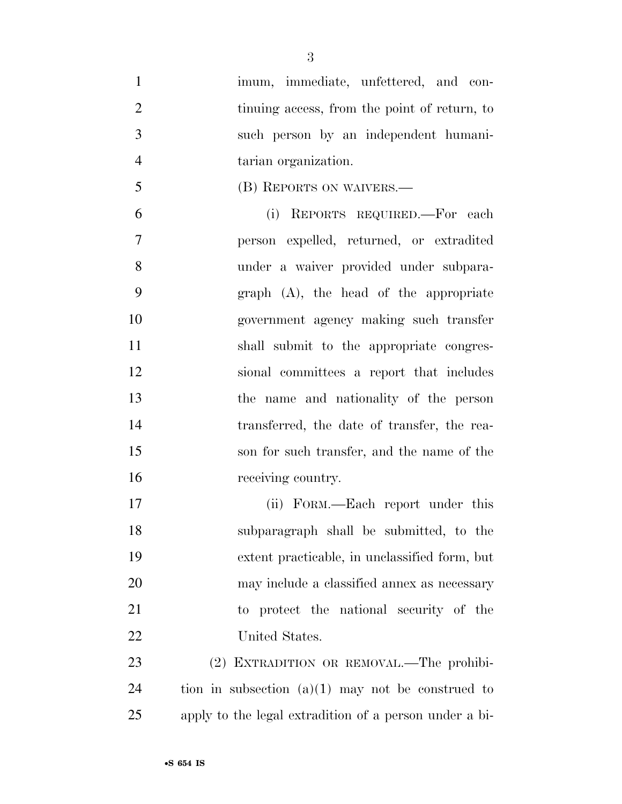- 1 imum, immediate, unfettered, and con-2 tinuing access, from the point of return, to such person by an independent humani-tarian organization.
- (B) REPORTS ON WAIVERS.—
- (i) REPORTS REQUIRED.—For each person expelled, returned, or extradited under a waiver provided under subpara- graph (A), the head of the appropriate government agency making such transfer shall submit to the appropriate congres- sional committees a report that includes the name and nationality of the person transferred, the date of transfer, the rea- son for such transfer, and the name of the receiving country.
- (ii) FORM.—Each report under this subparagraph shall be submitted, to the extent practicable, in unclassified form, but may include a classified annex as necessary to protect the national security of the United States.
- 23 (2) EXTRADITION OR REMOVAL.—The prohibi- tion in subsection  $(a)(1)$  may not be construed to apply to the legal extradition of a person under a bi-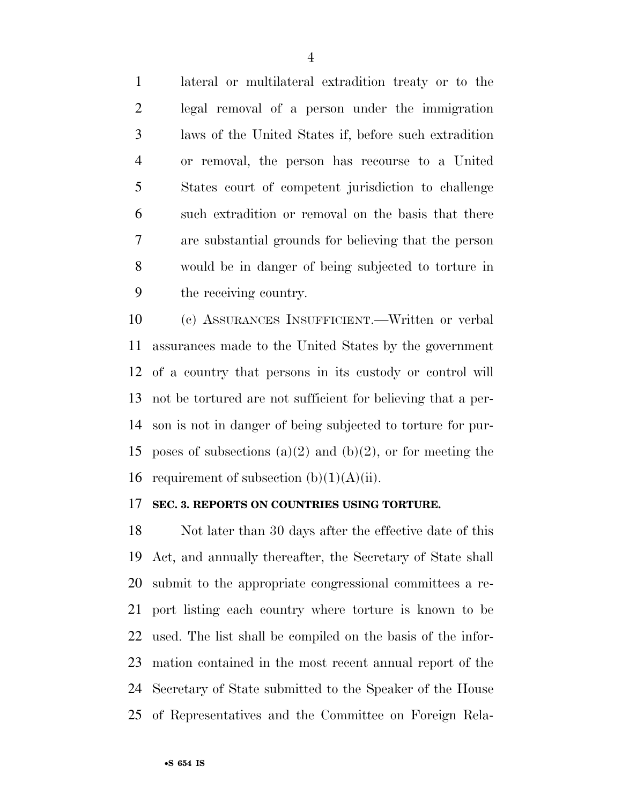lateral or multilateral extradition treaty or to the legal removal of a person under the immigration laws of the United States if, before such extradition or removal, the person has recourse to a United States court of competent jurisdiction to challenge such extradition or removal on the basis that there are substantial grounds for believing that the person would be in danger of being subjected to torture in the receiving country.

 (c) ASSURANCES INSUFFICIENT.—Written or verbal assurances made to the United States by the government of a country that persons in its custody or control will not be tortured are not sufficient for believing that a per- son is not in danger of being subjected to torture for pur-15 poses of subsections (a)(2) and (b)(2), or for meeting the 16 requirement of subsection  $(b)(1)(A)(ii)$ .

#### **SEC. 3. REPORTS ON COUNTRIES USING TORTURE.**

 Not later than 30 days after the effective date of this Act, and annually thereafter, the Secretary of State shall submit to the appropriate congressional committees a re- port listing each country where torture is known to be used. The list shall be compiled on the basis of the infor- mation contained in the most recent annual report of the Secretary of State submitted to the Speaker of the House of Representatives and the Committee on Foreign Rela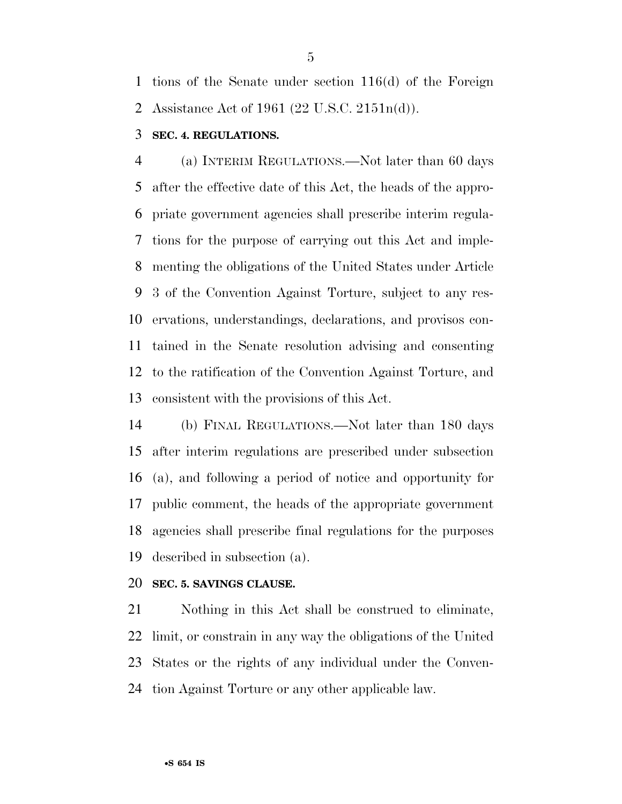tions of the Senate under section 116(d) of the Foreign Assistance Act of 1961 (22 U.S.C. 2151n(d)).

# **SEC. 4. REGULATIONS.**

 (a) INTERIM REGULATIONS.—Not later than 60 days after the effective date of this Act, the heads of the appro- priate government agencies shall prescribe interim regula- tions for the purpose of carrying out this Act and imple- menting the obligations of the United States under Article 3 of the Convention Against Torture, subject to any res- ervations, understandings, declarations, and provisos con- tained in the Senate resolution advising and consenting to the ratification of the Convention Against Torture, and consistent with the provisions of this Act.

 (b) FINAL REGULATIONS.—Not later than 180 days after interim regulations are prescribed under subsection (a), and following a period of notice and opportunity for public comment, the heads of the appropriate government agencies shall prescribe final regulations for the purposes described in subsection (a).

#### **SEC. 5. SAVINGS CLAUSE.**

 Nothing in this Act shall be construed to eliminate, limit, or constrain in any way the obligations of the United States or the rights of any individual under the Conven-tion Against Torture or any other applicable law.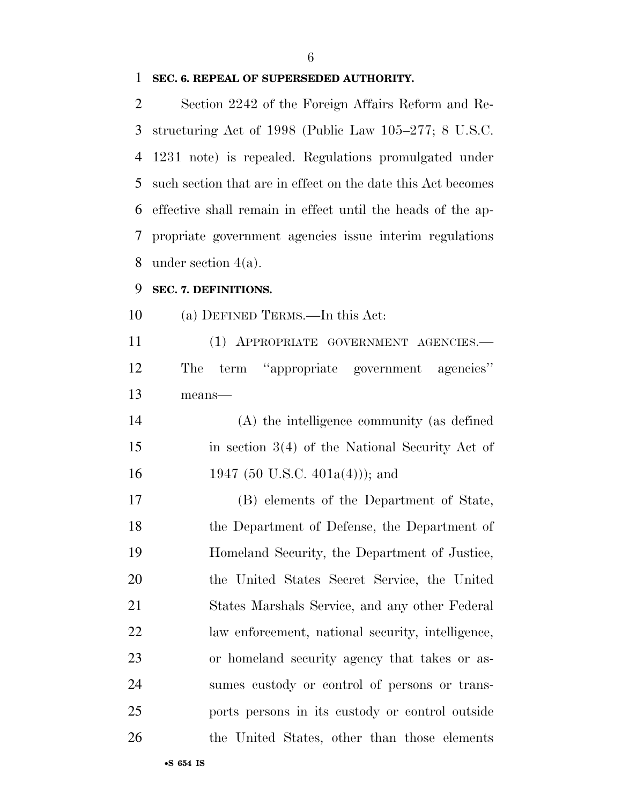#### **SEC. 6. REPEAL OF SUPERSEDED AUTHORITY.**

 Section 2242 of the Foreign Affairs Reform and Re- structuring Act of 1998 (Public Law 105–277; 8 U.S.C. 1231 note) is repealed. Regulations promulgated under such section that are in effect on the date this Act becomes effective shall remain in effect until the heads of the ap- propriate government agencies issue interim regulations under section 4(a).

#### **SEC. 7. DEFINITIONS.**

(a) DEFINED TERMS.—In this Act:

 (1) APPROPRIATE GOVERNMENT AGENCIES.— The term ''appropriate government agencies'' means—

 (A) the intelligence community (as defined in section 3(4) of the National Security Act of 16 1947 (50 U.S.C. 401a(4))); and

 (B) elements of the Department of State, the Department of Defense, the Department of Homeland Security, the Department of Justice, the United States Secret Service, the United States Marshals Service, and any other Federal law enforcement, national security, intelligence, or homeland security agency that takes or as- sumes custody or control of persons or trans- ports persons in its custody or control outside the United States, other than those elements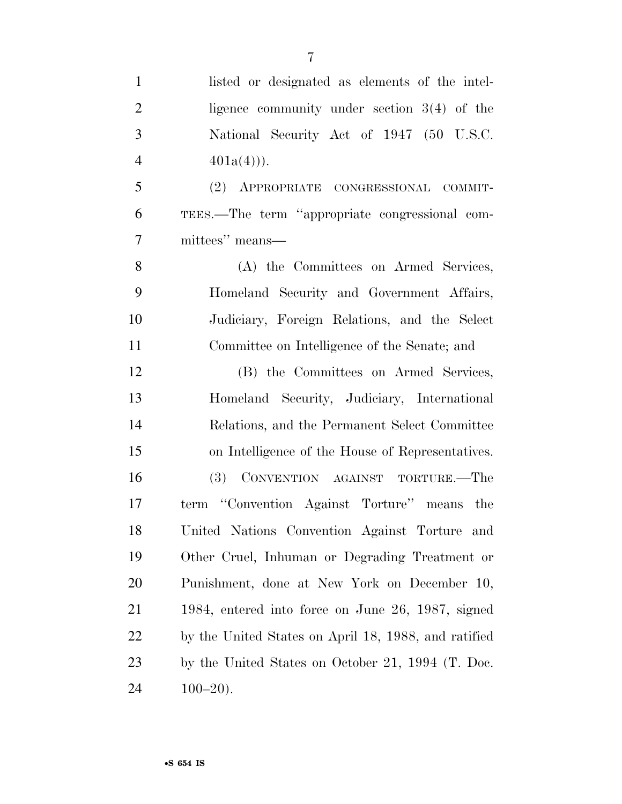| $\mathbf{1}$   | listed or designated as elements of the intel-       |
|----------------|------------------------------------------------------|
| $\overline{2}$ | ligence community under section $3(4)$ of the        |
| 3              | National Security Act of 1947 (50 U.S.C.             |
| $\overline{4}$ | $401a(4))$ .                                         |
| 5              | (2) APPROPRIATE CONGRESSIONAL COMMIT-                |
| 6              | TEES.—The term "appropriate congressional com-       |
| 7              | mittees" means-                                      |
| 8              | (A) the Committees on Armed Services,                |
| 9              | Homeland Security and Government Affairs,            |
| 10             | Judiciary, Foreign Relations, and the Select         |
| 11             | Committee on Intelligence of the Senate; and         |
| 12             | (B) the Committees on Armed Services,                |
| 13             | Homeland Security, Judiciary, International          |
| 14             | Relations, and the Permanent Select Committee        |
| 15             | on Intelligence of the House of Representatives.     |
| 16             | (3) CONVENTION AGAINST TORTURE.—The                  |
| 17             | term "Convention Against Torture" means the          |
| 18             | United Nations Convention Against Torture and        |
| 19             | Other Cruel, Inhuman or Degrading Treatment or       |
| <b>20</b>      | Punishment, done at New York on December 10,         |
| 21             | 1984, entered into force on June 26, 1987, signed    |
| 22             | by the United States on April 18, 1988, and ratified |
| 23             | by the United States on October 21, 1994 (T. Doc.    |
| 24             | $100 - 20$ .                                         |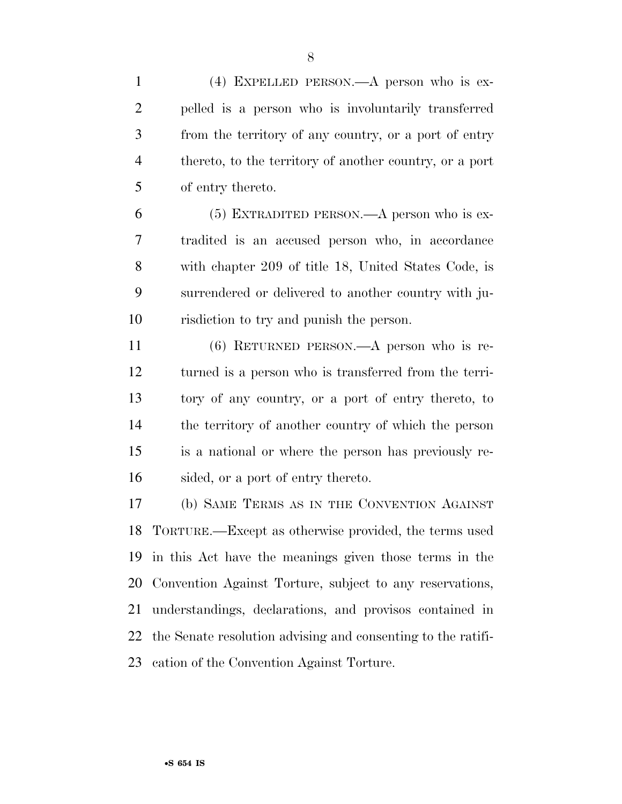(4) EXPELLED PERSON.—A person who is ex- pelled is a person who is involuntarily transferred from the territory of any country, or a port of entry thereto, to the territory of another country, or a port of entry thereto.

 (5) EXTRADITED PERSON.—A person who is ex- tradited is an accused person who, in accordance with chapter 209 of title 18, United States Code, is surrendered or delivered to another country with ju-risdiction to try and punish the person.

 (6) RETURNED PERSON.—A person who is re- turned is a person who is transferred from the terri- tory of any country, or a port of entry thereto, to the territory of another country of which the person is a national or where the person has previously re-sided, or a port of entry thereto.

 (b) SAME TERMS AS IN THE CONVENTION AGAINST TORTURE.—Except as otherwise provided, the terms used in this Act have the meanings given those terms in the Convention Against Torture, subject to any reservations, understandings, declarations, and provisos contained in the Senate resolution advising and consenting to the ratifi-cation of the Convention Against Torture.